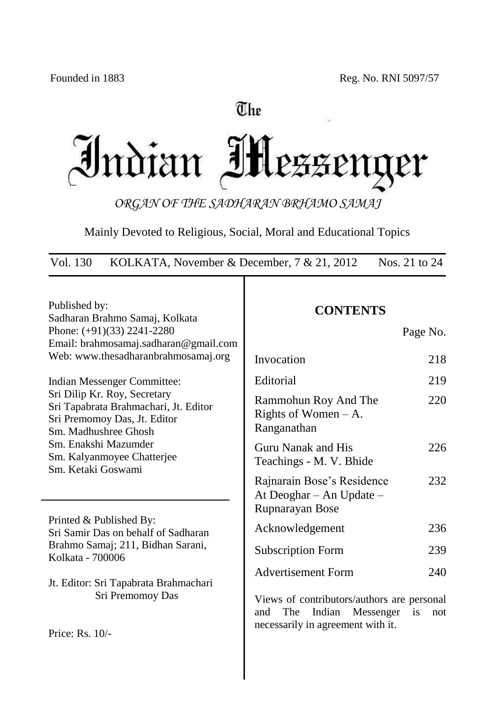# The

Indian IH er

*ORGAN OF THE SADHARAN BRHAMO SAMAJ*

Mainly Devoted to Religious, Social, Moral and Educational Topics

Vol. 130 KOLKATA, November & December, 7 & 21, 2012 Nos. 21 to 24

| Published by:<br>Sadharan Brahmo Samaj, Kolkata<br>Phone: $(+91)(33)$ 2241-2280                                                                                                                           | <b>CONTENTS</b><br>Page No.                                                                                                       |  |  |
|-----------------------------------------------------------------------------------------------------------------------------------------------------------------------------------------------------------|-----------------------------------------------------------------------------------------------------------------------------------|--|--|
| Email: brahmosamaj.sadharan@gmail.com<br>Web: www.thesadharanbrahmosamaj.org                                                                                                                              | Invocation<br>218                                                                                                                 |  |  |
| Indian Messenger Committee:                                                                                                                                                                               | Editorial<br>219                                                                                                                  |  |  |
| Sri Dilip Kr. Roy, Secretary<br>Sri Tapabrata Brahmachari, Jt. Editor<br>Sri Premomoy Das, Jt. Editor<br>Sm. Madhushree Ghosh<br>Sm. Enakshi Mazumder<br>Sm. Kalyanmoyee Chatterjee<br>Sm. Ketaki Goswami | 220<br>Rammohun Roy And The<br>Rights of Women $-A$ .<br>Ranganathan                                                              |  |  |
|                                                                                                                                                                                                           | 226<br>Guru Nanak and His<br>Teachings - M. V. Bhide                                                                              |  |  |
|                                                                                                                                                                                                           | Rajnarain Bose's Residence<br>232<br>At Deoghar - An Update -<br>Rupnarayan Bose                                                  |  |  |
| Printed & Published By:<br>Sri Samir Das on behalf of Sadharan                                                                                                                                            | 236<br>Acknowledgement                                                                                                            |  |  |
| Brahmo Samaj; 211, Bidhan Sarani,<br>Kolkata - 700006                                                                                                                                                     | <b>Subscription Form</b><br>239                                                                                                   |  |  |
| Jt. Editor: Sri Tapabrata Brahmachari                                                                                                                                                                     | <b>Advertisement Form</b><br>240                                                                                                  |  |  |
| Sri Premomoy Das                                                                                                                                                                                          | Views of contributors/authors are personal<br>Indian<br>Messenger<br>The<br>is<br>and<br>not<br>necessarily in agreement with it. |  |  |
| Price: Rs. 10/-                                                                                                                                                                                           |                                                                                                                                   |  |  |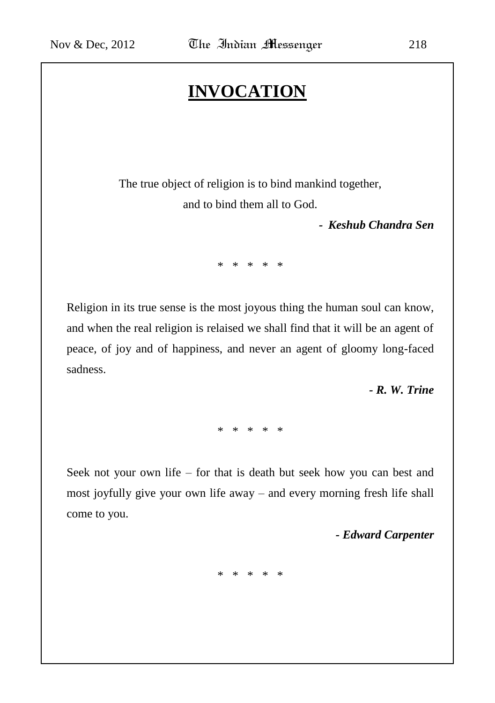# **INVOCATION**

The true object of religion is to bind mankind together, and to bind them all to God.

*- Keshub Chandra Sen*

\* \* \* \* \*

Religion in its true sense is the most joyous thing the human soul can know, and when the real religion is relaised we shall find that it will be an agent of peace, of joy and of happiness, and never an agent of gloomy long-faced sadness.

*- R. W. Trine*

\* \* \* \* \*

Seek not your own life – for that is death but seek how you can best and most joyfully give your own life away – and every morning fresh life shall come to you.

*- Edward Carpenter*

\* \* \* \* \*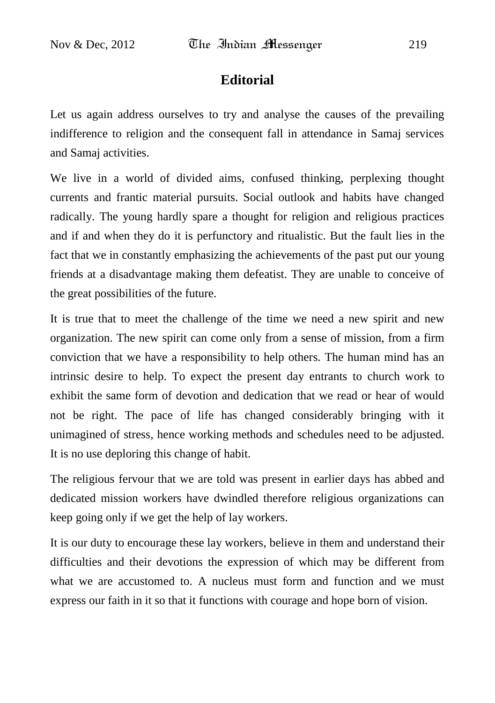## **Editorial**

Let us again address ourselves to try and analyse the causes of the prevailing indifference to religion and the consequent fall in attendance in Samaj services and Samaj activities.

We live in a world of divided aims, confused thinking, perplexing thought currents and frantic material pursuits. Social outlook and habits have changed radically. The young hardly spare a thought for religion and religious practices and if and when they do it is perfunctory and ritualistic. But the fault lies in the fact that we in constantly emphasizing the achievements of the past put our young friends at a disadvantage making them defeatist. They are unable to conceive of the great possibilities of the future.

It is true that to meet the challenge of the time we need a new spirit and new organization. The new spirit can come only from a sense of mission, from a firm conviction that we have a responsibility to help others. The human mind has an intrinsic desire to help. To expect the present day entrants to church work to exhibit the same form of devotion and dedication that we read or hear of would not be right. The pace of life has changed considerably bringing with it unimagined of stress, hence working methods and schedules need to be adjusted. It is no use deploring this change of habit.

The religious fervour that we are told was present in earlier days has abbed and dedicated mission workers have dwindled therefore religious organizations can keep going only if we get the help of lay workers.

It is our duty to encourage these lay workers, believe in them and understand their difficulties and their devotions the expression of which may be different from what we are accustomed to. A nucleus must form and function and we must express our faith in it so that it functions with courage and hope born of vision.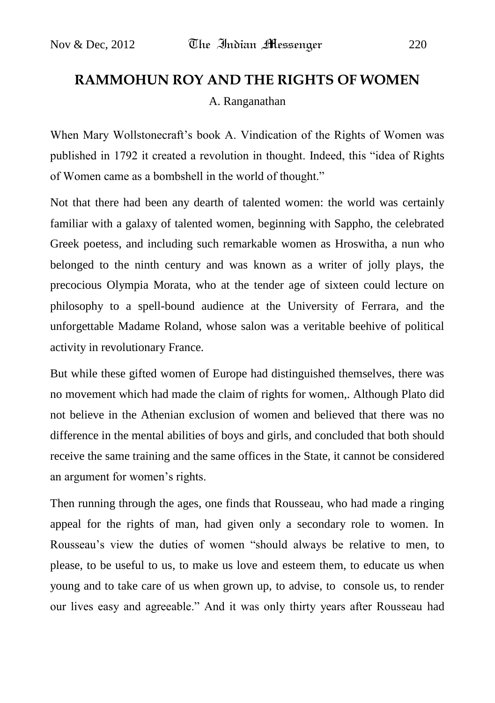# **RAMMOHUN ROY AND THE RIGHTS OF WOMEN** A. Ranganathan

When Mary Wollstonecraft's book A. Vindication of the Rights of Women was published in 1792 it created a revolution in thought. Indeed, this "idea of Rights of Women came as a bombshell in the world of thought."

Not that there had been any dearth of talented women: the world was certainly familiar with a galaxy of talented women, beginning with Sappho, the celebrated Greek poetess, and including such remarkable women as Hroswitha, a nun who belonged to the ninth century and was known as a writer of jolly plays, the precocious Olympia Morata, who at the tender age of sixteen could lecture on philosophy to a spell-bound audience at the University of Ferrara, and the unforgettable Madame Roland, whose salon was a veritable beehive of political activity in revolutionary France.

But while these gifted women of Europe had distinguished themselves, there was no movement which had made the claim of rights for women,. Although Plato did not believe in the Athenian exclusion of women and believed that there was no difference in the mental abilities of boys and girls, and concluded that both should receive the same training and the same offices in the State, it cannot be considered an argument for women's rights.

Then running through the ages, one finds that Rousseau, who had made a ringing appeal for the rights of man, had given only a secondary role to women. In Rousseau"s view the duties of women "should always be relative to men, to please, to be useful to us, to make us love and esteem them, to educate us when young and to take care of us when grown up, to advise, to console us, to render our lives easy and agreeable." And it was only thirty years after Rousseau had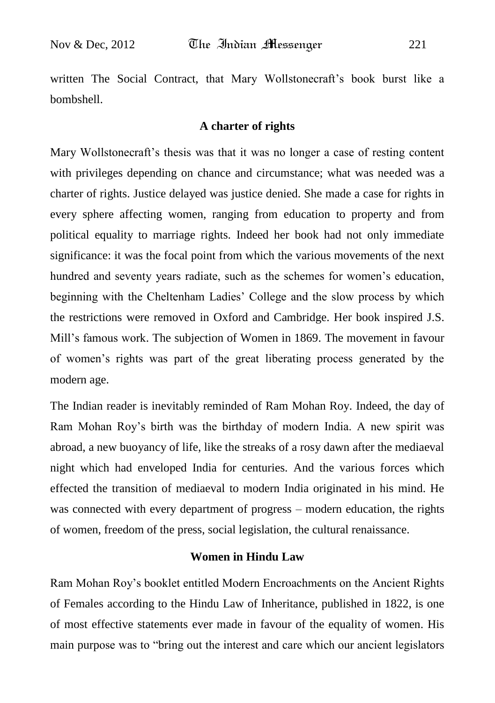written The Social Contract, that Mary Wollstonecraft's book burst like a bombshell.

#### **A charter of rights**

Mary Wollstonecraft's thesis was that it was no longer a case of resting content with privileges depending on chance and circumstance; what was needed was a charter of rights. Justice delayed was justice denied. She made a case for rights in every sphere affecting women, ranging from education to property and from political equality to marriage rights. Indeed her book had not only immediate significance: it was the focal point from which the various movements of the next hundred and seventy years radiate, such as the schemes for women's education, beginning with the Cheltenham Ladies" College and the slow process by which the restrictions were removed in Oxford and Cambridge. Her book inspired J.S. Mill"s famous work. The subjection of Women in 1869. The movement in favour of women"s rights was part of the great liberating process generated by the modern age.

The Indian reader is inevitably reminded of Ram Mohan Roy. Indeed, the day of Ram Mohan Roy"s birth was the birthday of modern India. A new spirit was abroad, a new buoyancy of life, like the streaks of a rosy dawn after the mediaeval night which had enveloped India for centuries. And the various forces which effected the transition of mediaeval to modern India originated in his mind. He was connected with every department of progress – modern education, the rights of women, freedom of the press, social legislation, the cultural renaissance.

#### **Women in Hindu Law**

Ram Mohan Roy"s booklet entitled Modern Encroachments on the Ancient Rights of Females according to the Hindu Law of Inheritance, published in 1822, is one of most effective statements ever made in favour of the equality of women. His main purpose was to "bring out the interest and care which our ancient legislators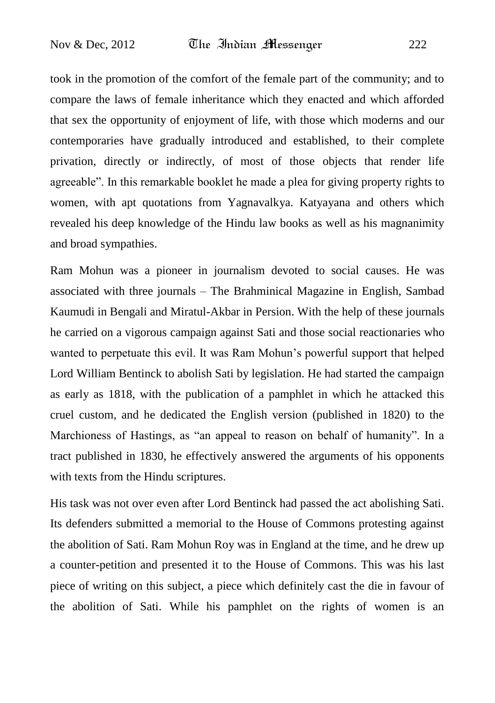took in the promotion of the comfort of the female part of the community; and to compare the laws of female inheritance which they enacted and which afforded that sex the opportunity of enjoyment of life, with those which moderns and our contemporaries have gradually introduced and established, to their complete privation, directly or indirectly, of most of those objects that render life agreeable". In this remarkable booklet he made a plea for giving property rights to women, with apt quotations from Yagnavalkya. Katyayana and others which revealed his deep knowledge of the Hindu law books as well as his magnanimity and broad sympathies.

Ram Mohun was a pioneer in journalism devoted to social causes. He was associated with three journals – The Brahminical Magazine in English, Sambad Kaumudi in Bengali and Miratul-Akbar in Persion. With the help of these journals he carried on a vigorous campaign against Sati and those social reactionaries who wanted to perpetuate this evil. It was Ram Mohun"s powerful support that helped Lord William Bentinck to abolish Sati by legislation. He had started the campaign as early as 1818, with the publication of a pamphlet in which he attacked this cruel custom, and he dedicated the English version (published in 1820) to the Marchioness of Hastings, as "an appeal to reason on behalf of humanity". In a tract published in 1830, he effectively answered the arguments of his opponents with texts from the Hindu scriptures.

His task was not over even after Lord Bentinck had passed the act abolishing Sati. Its defenders submitted a memorial to the House of Commons protesting against the abolition of Sati. Ram Mohun Roy was in England at the time, and he drew up a counter-petition and presented it to the House of Commons. This was his last piece of writing on this subject, a piece which definitely cast the die in favour of the abolition of Sati. While his pamphlet on the rights of women is an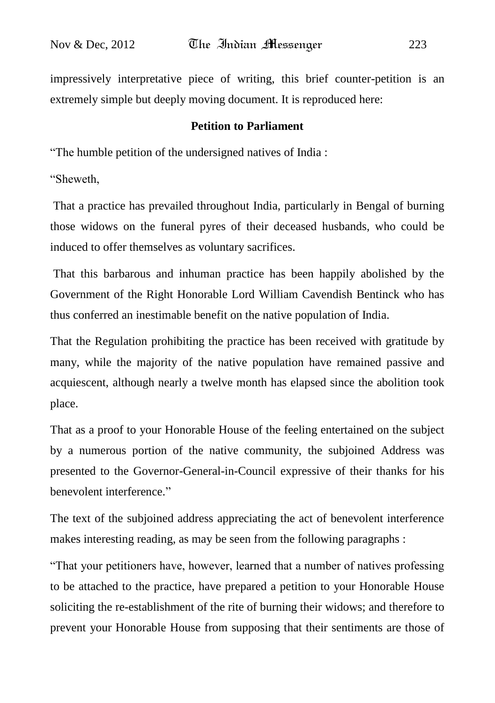impressively interpretative piece of writing, this brief counter-petition is an extremely simple but deeply moving document. It is reproduced here:

#### **Petition to Parliament**

"The humble petition of the undersigned natives of India :

"Sheweth,

That a practice has prevailed throughout India, particularly in Bengal of burning those widows on the funeral pyres of their deceased husbands, who could be induced to offer themselves as voluntary sacrifices.

That this barbarous and inhuman practice has been happily abolished by the Government of the Right Honorable Lord William Cavendish Bentinck who has thus conferred an inestimable benefit on the native population of India.

That the Regulation prohibiting the practice has been received with gratitude by many, while the majority of the native population have remained passive and acquiescent, although nearly a twelve month has elapsed since the abolition took place.

That as a proof to your Honorable House of the feeling entertained on the subject by a numerous portion of the native community, the subjoined Address was presented to the Governor-General-in-Council expressive of their thanks for his benevolent interference."

The text of the subjoined address appreciating the act of benevolent interference makes interesting reading, as may be seen from the following paragraphs :

"That your petitioners have, however, learned that a number of natives professing to be attached to the practice, have prepared a petition to your Honorable House soliciting the re-establishment of the rite of burning their widows; and therefore to prevent your Honorable House from supposing that their sentiments are those of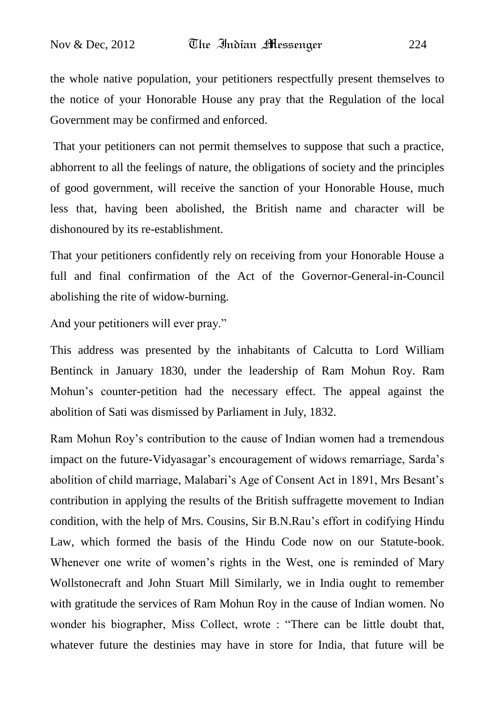the whole native population, your petitioners respectfully present themselves to the notice of your Honorable House any pray that the Regulation of the local Government may be confirmed and enforced.

That your petitioners can not permit themselves to suppose that such a practice, abhorrent to all the feelings of nature, the obligations of society and the principles of good government, will receive the sanction of your Honorable House, much less that, having been abolished, the British name and character will be dishonoured by its re-establishment.

That your petitioners confidently rely on receiving from your Honorable House a full and final confirmation of the Act of the Governor-General-in-Council abolishing the rite of widow-burning.

And your petitioners will ever pray."

This address was presented by the inhabitants of Calcutta to Lord William Bentinck in January 1830, under the leadership of Ram Mohun Roy. Ram Mohun"s counter-petition had the necessary effect. The appeal against the abolition of Sati was dismissed by Parliament in July, 1832.

Ram Mohun Roy"s contribution to the cause of Indian women had a tremendous impact on the future-Vidyasagar"s encouragement of widows remarriage, Sarda"s abolition of child marriage, Malabari"s Age of Consent Act in 1891, Mrs Besant"s contribution in applying the results of the British suffragette movement to Indian condition, with the help of Mrs. Cousins, Sir B.N.Rau"s effort in codifying Hindu Law, which formed the basis of the Hindu Code now on our Statute-book. Whenever one write of women"s rights in the West, one is reminded of Mary Wollstonecraft and John Stuart Mill Similarly, we in India ought to remember with gratitude the services of Ram Mohun Roy in the cause of Indian women. No wonder his biographer, Miss Collect, wrote : "There can be little doubt that, whatever future the destinies may have in store for India, that future will be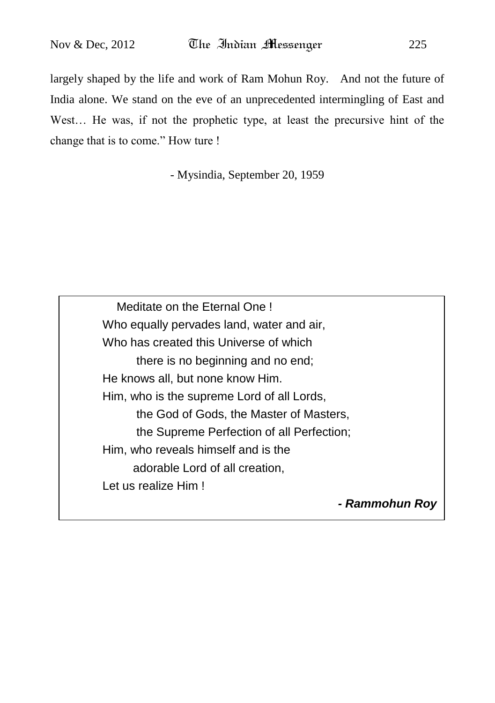largely shaped by the life and work of Ram Mohun Roy. And not the future of India alone. We stand on the eve of an unprecedented intermingling of East and West… He was, if not the prophetic type, at least the precursive hint of the change that is to come." How ture !

- Mysindia, September 20, 1959

 Meditate on the Eternal One ! Who equally pervades land, water and air, Who has created this Universe of which there is no beginning and no end; He knows all, but none know Him. Him, who is the supreme Lord of all Lords, the God of Gods, the Master of Masters, the Supreme Perfection of all Perfection; Him, who reveals himself and is the adorable Lord of all creation, Let us realize Him !

*- Rammohun Roy*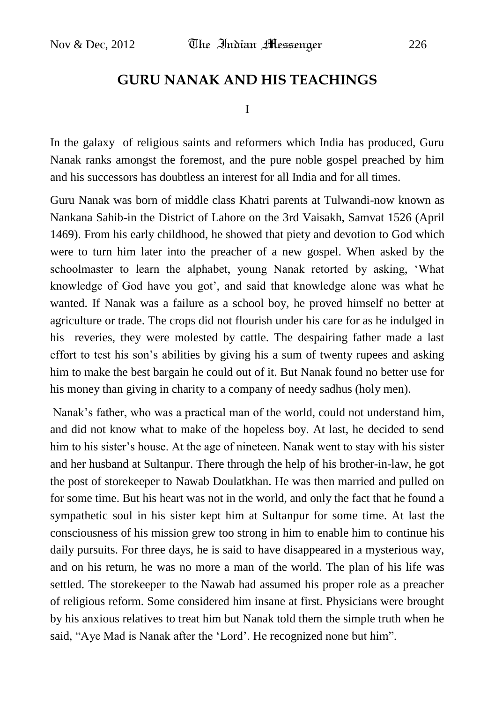## **GURU NANAK AND HIS TEACHINGS**

I

In the galaxy of religious saints and reformers which India has produced, Guru Nanak ranks amongst the foremost, and the pure noble gospel preached by him and his successors has doubtless an interest for all India and for all times.

Guru Nanak was born of middle class Khatri parents at Tulwandi-now known as Nankana Sahib-in the District of Lahore on the 3rd Vaisakh, Samvat 1526 (April 1469). From his early childhood, he showed that piety and devotion to God which were to turn him later into the preacher of a new gospel. When asked by the schoolmaster to learn the alphabet, young Nanak retorted by asking, "What knowledge of God have you got", and said that knowledge alone was what he wanted. If Nanak was a failure as a school boy, he proved himself no better at agriculture or trade. The crops did not flourish under his care for as he indulged in his reveries, they were molested by cattle. The despairing father made a last effort to test his son"s abilities by giving his a sum of twenty rupees and asking him to make the best bargain he could out of it. But Nanak found no better use for his money than giving in charity to a company of needy sadhus (holy men).

Nanak's father, who was a practical man of the world, could not understand him, and did not know what to make of the hopeless boy. At last, he decided to send him to his sister's house. At the age of nineteen. Nanak went to stay with his sister and her husband at Sultanpur. There through the help of his brother-in-law, he got the post of storekeeper to Nawab Doulatkhan. He was then married and pulled on for some time. But his heart was not in the world, and only the fact that he found a sympathetic soul in his sister kept him at Sultanpur for some time. At last the consciousness of his mission grew too strong in him to enable him to continue his daily pursuits. For three days, he is said to have disappeared in a mysterious way, and on his return, he was no more a man of the world. The plan of his life was settled. The storekeeper to the Nawab had assumed his proper role as a preacher of religious reform. Some considered him insane at first. Physicians were brought by his anxious relatives to treat him but Nanak told them the simple truth when he said, "Aye Mad is Nanak after the "Lord". He recognized none but him".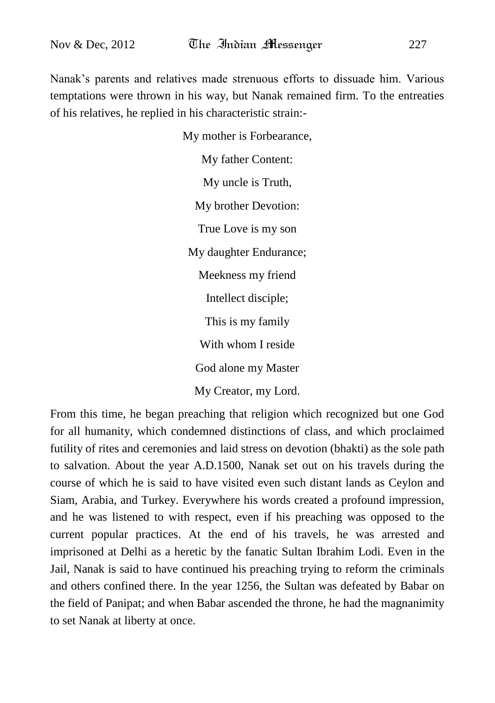Nanak"s parents and relatives made strenuous efforts to dissuade him. Various temptations were thrown in his way, but Nanak remained firm. To the entreaties of his relatives, he replied in his characteristic strain:-

> My mother is Forbearance, My father Content: My uncle is Truth, My brother Devotion: True Love is my son My daughter Endurance; Meekness my friend Intellect disciple; This is my family With whom I reside God alone my Master My Creator, my Lord.

From this time, he began preaching that religion which recognized but one God for all humanity, which condemned distinctions of class, and which proclaimed futility of rites and ceremonies and laid stress on devotion (bhakti) as the sole path to salvation. About the year A.D.1500, Nanak set out on his travels during the course of which he is said to have visited even such distant lands as Ceylon and Siam, Arabia, and Turkey. Everywhere his words created a profound impression, and he was listened to with respect, even if his preaching was opposed to the current popular practices. At the end of his travels, he was arrested and imprisoned at Delhi as a heretic by the fanatic Sultan Ibrahim Lodi. Even in the Jail, Nanak is said to have continued his preaching trying to reform the criminals and others confined there. In the year 1256, the Sultan was defeated by Babar on the field of Panipat; and when Babar ascended the throne, he had the magnanimity to set Nanak at liberty at once.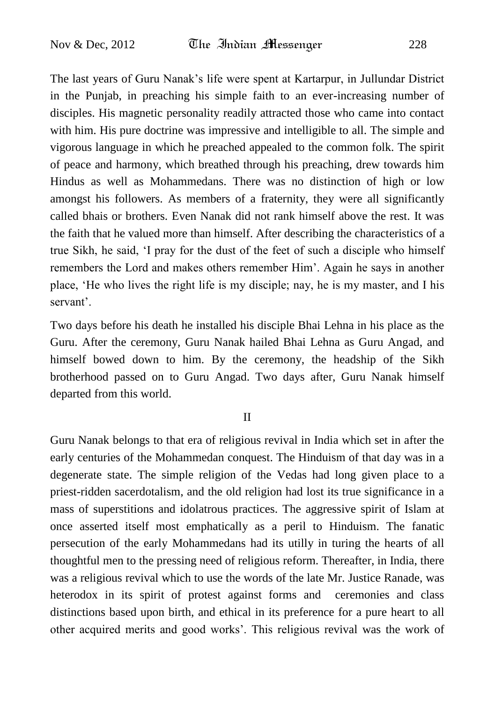The last years of Guru Nanak"s life were spent at Kartarpur, in Jullundar District in the Punjab, in preaching his simple faith to an ever-increasing number of disciples. His magnetic personality readily attracted those who came into contact with him. His pure doctrine was impressive and intelligible to all. The simple and vigorous language in which he preached appealed to the common folk. The spirit of peace and harmony, which breathed through his preaching, drew towards him Hindus as well as Mohammedans. There was no distinction of high or low amongst his followers. As members of a fraternity, they were all significantly called bhais or brothers. Even Nanak did not rank himself above the rest. It was the faith that he valued more than himself. After describing the characteristics of a true Sikh, he said, "I pray for the dust of the feet of such a disciple who himself remembers the Lord and makes others remember Him". Again he says in another place, "He who lives the right life is my disciple; nay, he is my master, and I his servant'.

Two days before his death he installed his disciple Bhai Lehna in his place as the Guru. After the ceremony, Guru Nanak hailed Bhai Lehna as Guru Angad, and himself bowed down to him. By the ceremony, the headship of the Sikh brotherhood passed on to Guru Angad. Two days after, Guru Nanak himself departed from this world.

#### II

Guru Nanak belongs to that era of religious revival in India which set in after the early centuries of the Mohammedan conquest. The Hinduism of that day was in a degenerate state. The simple religion of the Vedas had long given place to a priest-ridden sacerdotalism, and the old religion had lost its true significance in a mass of superstitions and idolatrous practices. The aggressive spirit of Islam at once asserted itself most emphatically as a peril to Hinduism. The fanatic persecution of the early Mohammedans had its utilly in turing the hearts of all thoughtful men to the pressing need of religious reform. Thereafter, in India, there was a religious revival which to use the words of the late Mr. Justice Ranade, was heterodox in its spirit of protest against forms and ceremonies and class distinctions based upon birth, and ethical in its preference for a pure heart to all other acquired merits and good works". This religious revival was the work of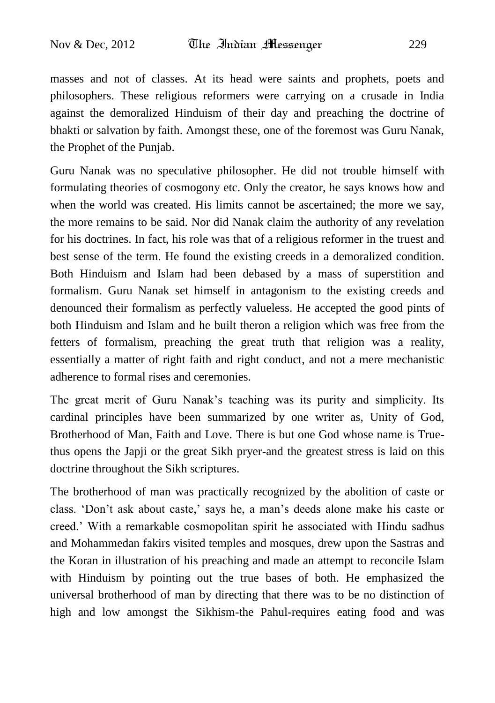masses and not of classes. At its head were saints and prophets, poets and philosophers. These religious reformers were carrying on a crusade in India against the demoralized Hinduism of their day and preaching the doctrine of bhakti or salvation by faith. Amongst these, one of the foremost was Guru Nanak, the Prophet of the Punjab.

Guru Nanak was no speculative philosopher. He did not trouble himself with formulating theories of cosmogony etc. Only the creator, he says knows how and when the world was created. His limits cannot be ascertained; the more we say, the more remains to be said. Nor did Nanak claim the authority of any revelation for his doctrines. In fact, his role was that of a religious reformer in the truest and best sense of the term. He found the existing creeds in a demoralized condition. Both Hinduism and Islam had been debased by a mass of superstition and formalism. Guru Nanak set himself in antagonism to the existing creeds and denounced their formalism as perfectly valueless. He accepted the good pints of both Hinduism and Islam and he built theron a religion which was free from the fetters of formalism, preaching the great truth that religion was a reality, essentially a matter of right faith and right conduct, and not a mere mechanistic adherence to formal rises and ceremonies.

The great merit of Guru Nanak"s teaching was its purity and simplicity. Its cardinal principles have been summarized by one writer as, Unity of God, Brotherhood of Man, Faith and Love. There is but one God whose name is Truethus opens the Japji or the great Sikh pryer-and the greatest stress is laid on this doctrine throughout the Sikh scriptures.

The brotherhood of man was practically recognized by the abolition of caste or class. "Don"t ask about caste," says he, a man"s deeds alone make his caste or creed." With a remarkable cosmopolitan spirit he associated with Hindu sadhus and Mohammedan fakirs visited temples and mosques, drew upon the Sastras and the Koran in illustration of his preaching and made an attempt to reconcile Islam with Hinduism by pointing out the true bases of both. He emphasized the universal brotherhood of man by directing that there was to be no distinction of high and low amongst the Sikhism-the Pahul-requires eating food and was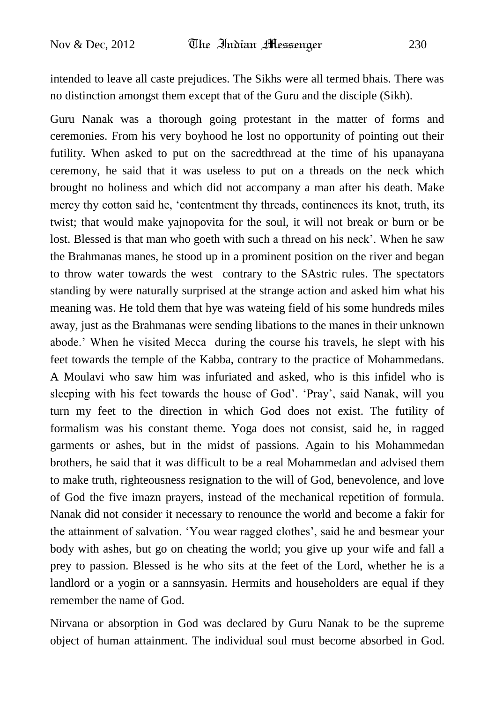intended to leave all caste prejudices. The Sikhs were all termed bhais. There was no distinction amongst them except that of the Guru and the disciple (Sikh).

Guru Nanak was a thorough going protestant in the matter of forms and ceremonies. From his very boyhood he lost no opportunity of pointing out their futility. When asked to put on the sacredthread at the time of his upanayana ceremony, he said that it was useless to put on a threads on the neck which brought no holiness and which did not accompany a man after his death. Make mercy thy cotton said he, "contentment thy threads, continences its knot, truth, its twist; that would make yajnopovita for the soul, it will not break or burn or be lost. Blessed is that man who goeth with such a thread on his neck". When he saw the Brahmanas manes, he stood up in a prominent position on the river and began to throw water towards the west contrary to the SAstric rules. The spectators standing by were naturally surprised at the strange action and asked him what his meaning was. He told them that hye was wateing field of his some hundreds miles away, just as the Brahmanas were sending libations to the manes in their unknown abode." When he visited Mecca during the course his travels, he slept with his feet towards the temple of the Kabba, contrary to the practice of Mohammedans. A Moulavi who saw him was infuriated and asked, who is this infidel who is sleeping with his feet towards the house of God". "Pray", said Nanak, will you turn my feet to the direction in which God does not exist. The futility of formalism was his constant theme. Yoga does not consist, said he, in ragged garments or ashes, but in the midst of passions. Again to his Mohammedan brothers, he said that it was difficult to be a real Mohammedan and advised them to make truth, righteousness resignation to the will of God, benevolence, and love of God the five imazn prayers, instead of the mechanical repetition of formula. Nanak did not consider it necessary to renounce the world and become a fakir for the attainment of salvation. "You wear ragged clothes", said he and besmear your body with ashes, but go on cheating the world; you give up your wife and fall a prey to passion. Blessed is he who sits at the feet of the Lord, whether he is a landlord or a yogin or a sannsyasin. Hermits and householders are equal if they remember the name of God.

Nirvana or absorption in God was declared by Guru Nanak to be the supreme object of human attainment. The individual soul must become absorbed in God.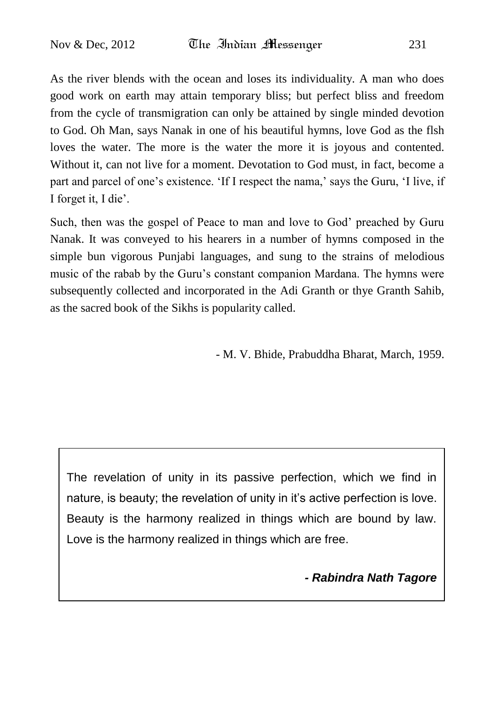As the river blends with the ocean and loses its individuality. A man who does good work on earth may attain temporary bliss; but perfect bliss and freedom from the cycle of transmigration can only be attained by single minded devotion to God. Oh Man, says Nanak in one of his beautiful hymns, love God as the flsh loves the water. The more is the water the more it is joyous and contented. Without it, can not live for a moment. Devotation to God must, in fact, become a part and parcel of one's existence. 'If I respect the nama,' says the Guru, 'I live, if I forget it, I die".

Such, then was the gospel of Peace to man and love to God' preached by Guru Nanak. It was conveyed to his hearers in a number of hymns composed in the simple bun vigorous Punjabi languages, and sung to the strains of melodious music of the rabab by the Guru"s constant companion Mardana. The hymns were subsequently collected and incorporated in the Adi Granth or thye Granth Sahib, as the sacred book of the Sikhs is popularity called.

- M. V. Bhide, Prabuddha Bharat, March, 1959.

The revelation of unity in its passive perfection, which we find in nature, is beauty; the revelation of unity in it's active perfection is love. Beauty is the harmony realized in things which are bound by law. Love is the harmony realized in things which are free.

*- Rabindra Nath Tagore*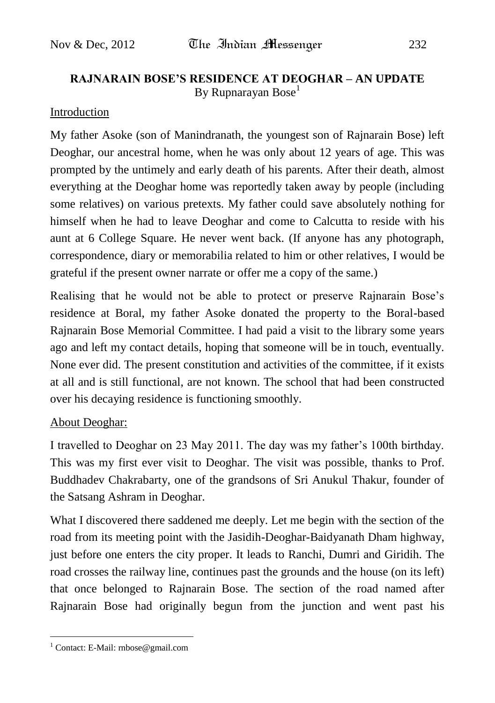## **RAJNARAIN BOSE'S RESIDENCE AT DEOGHAR – AN UPDATE**  By Rupnarayan Bose<sup>1</sup>

### Introduction

My father Asoke (son of Manindranath, the youngest son of Rajnarain Bose) left Deoghar, our ancestral home, when he was only about 12 years of age. This was prompted by the untimely and early death of his parents. After their death, almost everything at the Deoghar home was reportedly taken away by people (including some relatives) on various pretexts. My father could save absolutely nothing for himself when he had to leave Deoghar and come to Calcutta to reside with his aunt at 6 College Square. He never went back. (If anyone has any photograph, correspondence, diary or memorabilia related to him or other relatives, I would be grateful if the present owner narrate or offer me a copy of the same.)

Realising that he would not be able to protect or preserve Rajnarain Bose"s residence at Boral, my father Asoke donated the property to the Boral-based Rajnarain Bose Memorial Committee. I had paid a visit to the library some years ago and left my contact details, hoping that someone will be in touch, eventually. None ever did. The present constitution and activities of the committee, if it exists at all and is still functional, are not known. The school that had been constructed over his decaying residence is functioning smoothly.

### About Deoghar:

I travelled to Deoghar on 23 May 2011. The day was my father"s 100th birthday. This was my first ever visit to Deoghar. The visit was possible, thanks to Prof. Buddhadev Chakrabarty, one of the grandsons of Sri Anukul Thakur, founder of the Satsang Ashram in Deoghar.

What I discovered there saddened me deeply. Let me begin with the section of the road from its meeting point with the Jasidih-Deoghar-Baidyanath Dham highway, just before one enters the city proper. It leads to Ranchi, Dumri and Giridih. The road crosses the railway line, continues past the grounds and the house (on its left) that once belonged to Rajnarain Bose. The section of the road named after Rajnarain Bose had originally begun from the junction and went past his

 $\overline{a}$ 

<sup>&</sup>lt;sup>1</sup> Contact: E-Mail[: rnbose@gmail.com](mailto:rnbose@gmail.com)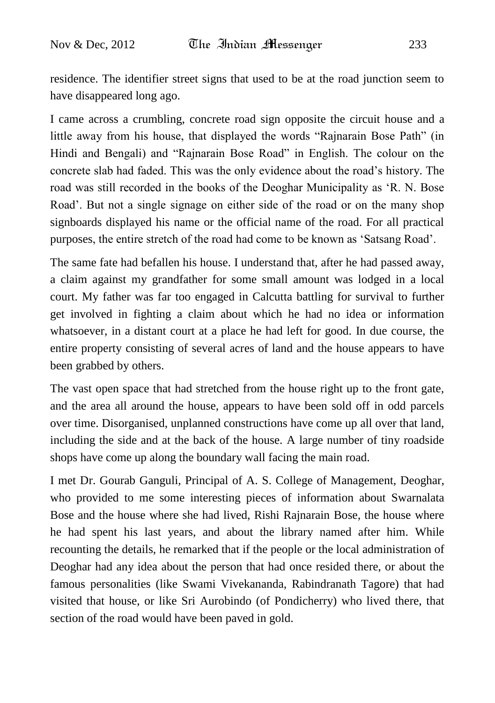residence. The identifier street signs that used to be at the road junction seem to have disappeared long ago.

I came across a crumbling, concrete road sign opposite the circuit house and a little away from his house, that displayed the words "Rajnarain Bose Path" (in Hindi and Bengali) and "Rajnarain Bose Road" in English. The colour on the concrete slab had faded. This was the only evidence about the road"s history. The road was still recorded in the books of the Deoghar Municipality as "R. N. Bose Road'. But not a single signage on either side of the road or on the many shop signboards displayed his name or the official name of the road. For all practical purposes, the entire stretch of the road had come to be known as "Satsang Road".

The same fate had befallen his house. I understand that, after he had passed away, a claim against my grandfather for some small amount was lodged in a local court. My father was far too engaged in Calcutta battling for survival to further get involved in fighting a claim about which he had no idea or information whatsoever, in a distant court at a place he had left for good. In due course, the entire property consisting of several acres of land and the house appears to have been grabbed by others.

The vast open space that had stretched from the house right up to the front gate, and the area all around the house, appears to have been sold off in odd parcels over time. Disorganised, unplanned constructions have come up all over that land, including the side and at the back of the house. A large number of tiny roadside shops have come up along the boundary wall facing the main road.

I met Dr. Gourab Ganguli, Principal of A. S. College of Management, Deoghar, who provided to me some interesting pieces of information about Swarnalata Bose and the house where she had lived, Rishi Rajnarain Bose, the house where he had spent his last years, and about the library named after him. While recounting the details, he remarked that if the people or the local administration of Deoghar had any idea about the person that had once resided there, or about the famous personalities (like Swami Vivekananda, Rabindranath Tagore) that had visited that house, or like Sri Aurobindo (of Pondicherry) who lived there, that section of the road would have been paved in gold.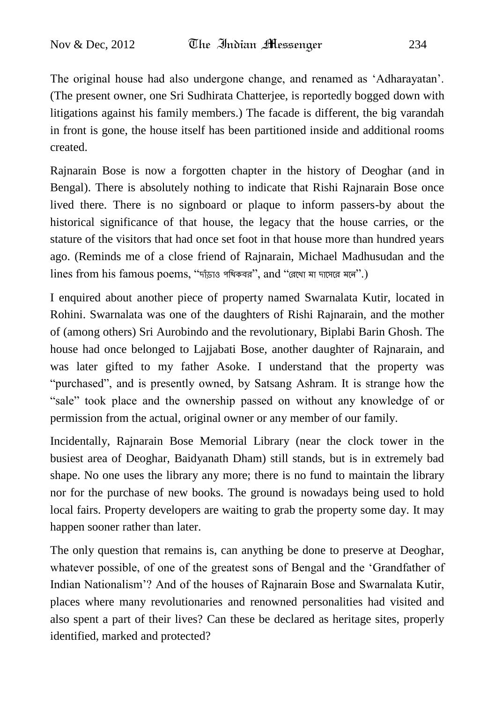The original house had also undergone change, and renamed as "Adharayatan". (The present owner, one Sri Sudhirata Chatterjee, is reportedly bogged down with litigations against his family members.) The facade is different, the big varandah in front is gone, the house itself has been partitioned inside and additional rooms created.

Rajnarain Bose is now a forgotten chapter in the history of Deoghar (and in Bengal). There is absolutely nothing to indicate that Rishi Rajnarain Bose once lived there. There is no signboard or plaque to inform passers-by about the historical significance of that house, the legacy that the house carries, or the stature of the visitors that had once set foot in that house more than hundred years ago. (Reminds me of a close friend of Rajnarain, Michael Madhusudan and the lines from his famous poems, "দাঁড়াও পথিকবর", and "রেখো মা দাসেরে মলে".)

I enquired about another piece of property named Swarnalata Kutir, located in Rohini. Swarnalata was one of the daughters of Rishi Rajnarain, and the mother of (among others) Sri Aurobindo and the revolutionary, Biplabi Barin Ghosh. The house had once belonged to Lajjabati Bose, another daughter of Rajnarain, and was later gifted to my father Asoke. I understand that the property was "purchased", and is presently owned, by Satsang Ashram. It is strange how the "sale" took place and the ownership passed on without any knowledge of or permission from the actual, original owner or any member of our family.

Incidentally, Rajnarain Bose Memorial Library (near the clock tower in the busiest area of Deoghar, Baidyanath Dham) still stands, but is in extremely bad shape. No one uses the library any more; there is no fund to maintain the library nor for the purchase of new books. The ground is nowadays being used to hold local fairs. Property developers are waiting to grab the property some day. It may happen sooner rather than later.

The only question that remains is, can anything be done to preserve at Deoghar, whatever possible, of one of the greatest sons of Bengal and the "Grandfather of Indian Nationalism"? And of the houses of Rajnarain Bose and Swarnalata Kutir, places where many revolutionaries and renowned personalities had visited and also spent a part of their lives? Can these be declared as heritage sites, properly identified, marked and protected?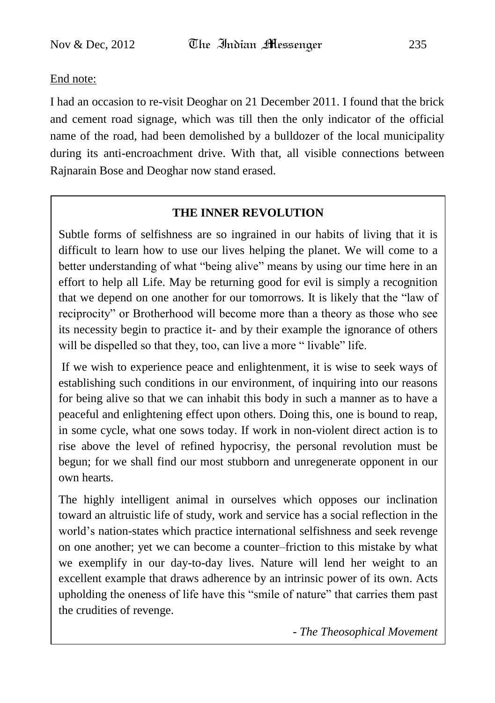### End note:

I had an occasion to re-visit Deoghar on 21 December 2011. I found that the brick and cement road signage, which was till then the only indicator of the official name of the road, had been demolished by a bulldozer of the local municipality during its anti-encroachment drive. With that, all visible connections between Rajnarain Bose and Deoghar now stand erased.

### **THE INNER REVOLUTION**

Subtle forms of selfishness are so ingrained in our habits of living that it is difficult to learn how to use our lives helping the planet. We will come to a better understanding of what "being alive" means by using our time here in an effort to help all Life. May be returning good for evil is simply a recognition that we depend on one another for our tomorrows. It is likely that the "law of reciprocity" or Brotherhood will become more than a theory as those who see its necessity begin to practice it- and by their example the ignorance of others will be dispelled so that they, too, can live a more "livable" life.

If we wish to experience peace and enlightenment, it is wise to seek ways of establishing such conditions in our environment, of inquiring into our reasons for being alive so that we can inhabit this body in such a manner as to have a peaceful and enlightening effect upon others. Doing this, one is bound to reap, in some cycle, what one sows today. If work in non-violent direct action is to rise above the level of refined hypocrisy, the personal revolution must be begun; for we shall find our most stubborn and unregenerate opponent in our own hearts.

The highly intelligent animal in ourselves which opposes our inclination toward an altruistic life of study, work and service has a social reflection in the world"s nation-states which practice international selfishness and seek revenge on one another; yet we can become a counter–friction to this mistake by what we exemplify in our day-to-day lives. Nature will lend her weight to an excellent example that draws adherence by an intrinsic power of its own. Acts upholding the oneness of life have this "smile of nature" that carries them past the crudities of revenge.

*- The Theosophical Movement*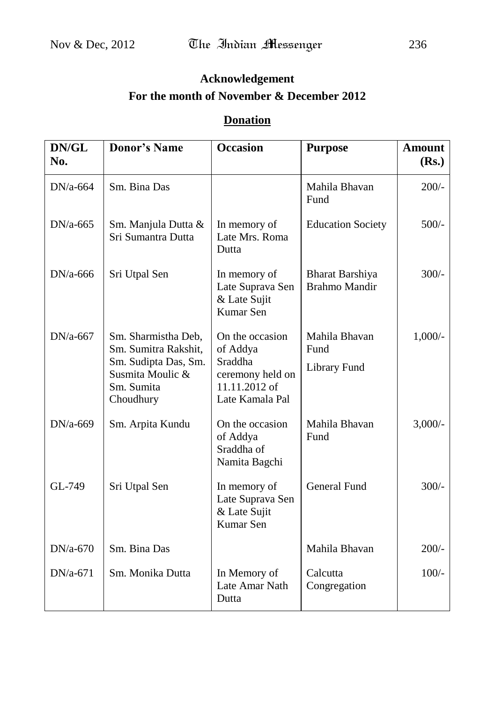## **Acknowledgement For the month of November & December 2012**

## **Donation**

| DN/GL<br>No. | <b>Donor's Name</b>                                                                                                | <b>Occasion</b>                                                                                | <b>Purpose</b>                                 | <b>Amount</b><br>(Rs.) |
|--------------|--------------------------------------------------------------------------------------------------------------------|------------------------------------------------------------------------------------------------|------------------------------------------------|------------------------|
| $DN/a-664$   | Sm. Bina Das                                                                                                       |                                                                                                | Mahila Bhavan<br>Fund                          | $200/-$                |
| $DN/a-665$   | Sm. Manjula Dutta &<br>Sri Sumantra Dutta                                                                          | In memory of<br>Late Mrs. Roma<br>Dutta                                                        | <b>Education Society</b>                       | $500/-$                |
| $DN/a-666$   | Sri Utpal Sen                                                                                                      | In memory of<br>Late Suprava Sen<br>& Late Sujit<br>Kumar Sen                                  | <b>Bharat Barshiya</b><br><b>Brahmo Mandir</b> | $300/-$                |
| $DN/a-667$   | Sm. Sharmistha Deb,<br>Sm. Sumitra Rakshit,<br>Sm. Sudipta Das, Sm.<br>Susmita Moulic &<br>Sm. Sumita<br>Choudhury | On the occasion<br>of Addya<br>Sraddha<br>ceremony held on<br>11.11.2012 of<br>Late Kamala Pal | Mahila Bhavan<br>Fund<br><b>Library Fund</b>   | $1,000/-$              |
| $DN/a-669$   | Sm. Arpita Kundu                                                                                                   | On the occasion<br>of Addya<br>Sraddha of<br>Namita Bagchi                                     | Mahila Bhavan<br>Fund                          | $3,000/-$              |
| GL-749       | Sri Utpal Sen                                                                                                      | In memory of<br>Late Suprava Sen<br>& Late Sujit<br>Kumar Sen                                  | <b>General Fund</b>                            | $300/-$                |
| $DN/a-670$   | Sm. Bina Das                                                                                                       |                                                                                                | Mahila Bhavan                                  | $200/-$                |
| DN/a-671     | Sm. Monika Dutta                                                                                                   | In Memory of<br>Late Amar Nath<br>Dutta                                                        | Calcutta<br>Congregation                       | $100/-$                |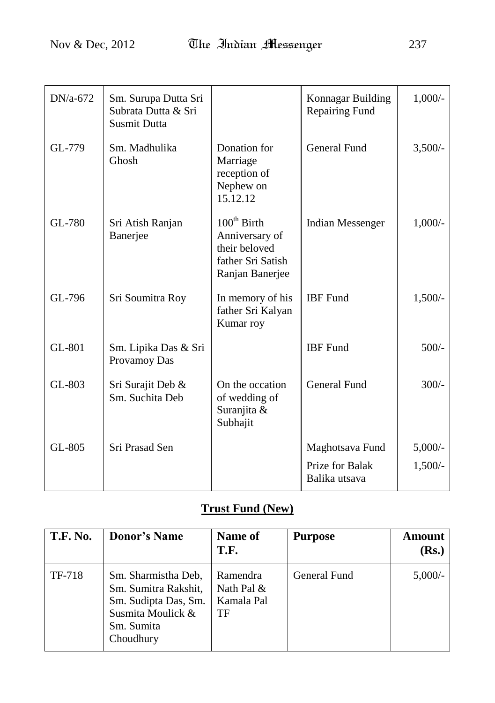| $DN/a-672$    | Sm. Surupa Dutta Sri<br>Subrata Dutta & Sri<br>Susmit Dutta |                                                                                                    | Konnagar Building<br>Repairing Fund                 | $1,000/-$              |
|---------------|-------------------------------------------------------------|----------------------------------------------------------------------------------------------------|-----------------------------------------------------|------------------------|
| GL-779        | Sm. Madhulika<br>Ghosh                                      | Donation for<br>Marriage<br>reception of<br>Nephew on<br>15.12.12                                  | <b>General Fund</b>                                 | $3,500/-$              |
| GL-780        | Sri Atish Ranjan<br>Banerjee                                | $100^{\text{th}}$ Birth<br>Anniversary of<br>their beloved<br>father Sri Satish<br>Ranjan Banerjee | <b>Indian Messenger</b>                             | $1,000/-$              |
| GL-796        | Sri Soumitra Roy                                            | In memory of his<br>father Sri Kalyan<br>Kumar roy                                                 | <b>IBF</b> Fund                                     | $1,500/-$              |
| <b>GL-801</b> | Sm. Lipika Das & Sri<br>Provamoy Das                        |                                                                                                    | <b>IBF</b> Fund                                     | $500/-$                |
| GL-803        | Sri Surajit Deb &<br>Sm. Suchita Deb                        | On the occation<br>of wedding of<br>Suranjita &<br>Subhajit                                        | <b>General Fund</b>                                 | $300/-$                |
| GL-805        | Sri Prasad Sen                                              |                                                                                                    | Maghotsava Fund<br>Prize for Balak<br>Balika utsava | $5,000/-$<br>$1,500/-$ |

## **Trust Fund (New)**

| <b>T.F. No.</b> | <b>Donor's Name</b>                                                                                                 | <b>Name of</b><br>T.F.                     | <b>Purpose</b> | <b>Amount</b><br>(Rs.) |
|-----------------|---------------------------------------------------------------------------------------------------------------------|--------------------------------------------|----------------|------------------------|
| TF-718          | Sm. Sharmistha Deb,<br>Sm. Sumitra Rakshit,<br>Sm. Sudipta Das, Sm.<br>Susmita Moulick &<br>Sm. Sumita<br>Choudhury | Ramendra<br>Nath Pal &<br>Kamala Pal<br>TF | General Fund   | $5,000/-$              |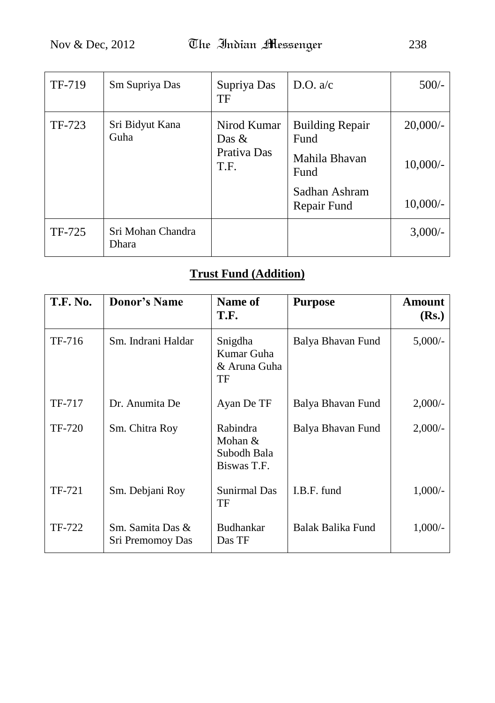| TF-719 | Sm Supriya Das             | Supriya Das<br>TF                              | D.O. $a/c$                                                                              | $500/-$                                |
|--------|----------------------------|------------------------------------------------|-----------------------------------------------------------------------------------------|----------------------------------------|
| TF-723 | Sri Bidyut Kana<br>Guha    | Nirod Kumar<br>Das $\&$<br>Prativa Das<br>T.F. | <b>Building Repair</b><br>Fund<br>Mahila Bhavan<br>Fund<br>Sadhan Ashram<br>Repair Fund | $20,000/-$<br>$10,000/-$<br>$10,000/-$ |
| TF-725 | Sri Mohan Chandra<br>Dhara |                                                |                                                                                         | $3,000/-$                              |

# **Trust Fund (Addition)**

| <b>T.F. No.</b> | <b>Donor's Name</b>                  | Name of<br>T.F.                                     | <b>Purpose</b>    | Amount<br>(Rs.) |
|-----------------|--------------------------------------|-----------------------------------------------------|-------------------|-----------------|
| TF-716          | Sm. Indrani Haldar                   | Snigdha<br>Kumar Guha<br>& Aruna Guha<br>TF         | Balya Bhavan Fund | $5,000/-$       |
| TF-717          | Dr. Anumita De                       | Ayan De TF                                          | Balya Bhavan Fund | $2,000/-$       |
| TF-720          | Sm. Chitra Roy                       | Rabindra<br>Mohan $&$<br>Subodh Bala<br>Biswas T.F. | Balya Bhavan Fund | $2,000/-$       |
| TF-721          | Sm. Debjani Roy                      | <b>Sunirmal Das</b><br>TF                           | I.B.F. fund       | $1,000/-$       |
| TF-722          | Sm. Samita Das &<br>Sri Premomoy Das | Budhankar<br>Das TF                                 | Balak Balika Fund | $1,000/-$       |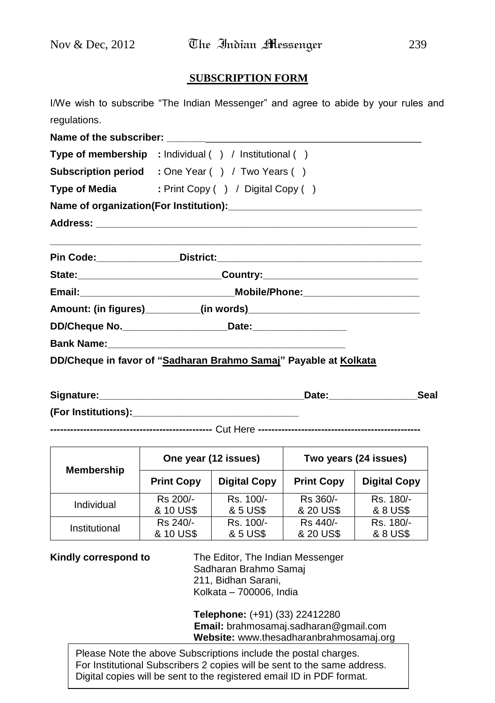#### **SUBSCRIPTION FORM**

I/We wish to subscribe "The Indian Messenger" and agree to abide by your rules and regulations.

| Type of membership : Individual () / Institutional ()                            |
|----------------------------------------------------------------------------------|
| <b>Subscription period</b> : One Year () / Two Years ()                          |
| Type of Media : Print Copy () / Digital Copy ()                                  |
|                                                                                  |
|                                                                                  |
|                                                                                  |
| State: _________________________________Country: _______________________________ |
|                                                                                  |
|                                                                                  |
|                                                                                  |
|                                                                                  |
| DD/Cheque in favor of "Sadharan Brahmo Samaj" Payable at Kolkata                 |

| Signature:          | Date∶ | Seal |
|---------------------|-------|------|
| (For Institutions): |       |      |

**-------------------------------------------------** Cut Here **-------------------------------------------------**

| <b>Membership</b> | One year (12 issues) |                     | Two years (24 issues) |                     |
|-------------------|----------------------|---------------------|-----------------------|---------------------|
|                   | <b>Print Copy</b>    | <b>Digital Copy</b> | <b>Print Copy</b>     | <b>Digital Copy</b> |
| Individual        | Rs 200/-             | Rs. 100/-           | Rs 360/-              | Rs. 180/-           |
|                   | & 10 US\$            | & 5 US\$            | & 20 US\$             | & 8 US\$            |
| Institutional     | Rs 240/-             | Rs. 100/-           | Rs 440/-              | Rs. 180/-           |
|                   | & 10 US\$            | & 5 US\$            | & 20 US\$             | & 8 US\$            |

**Kindly correspond to** The Editor, The Indian Messenger Sadharan Brahmo Samaj 211, Bidhan Sarani, Kolkata – 700006, India

> **Telephone:** (+91) (33) 22412280 **Email:** brahmosamaj.sadharan@gmail.com **Website:** www.thesadharanbrahmosamaj.org

Please Note the above Subscriptions include the postal charges. For Institutional Subscribers 2 copies will be sent to the same address. Digital copies will be sent to the registered email ID in PDF format.